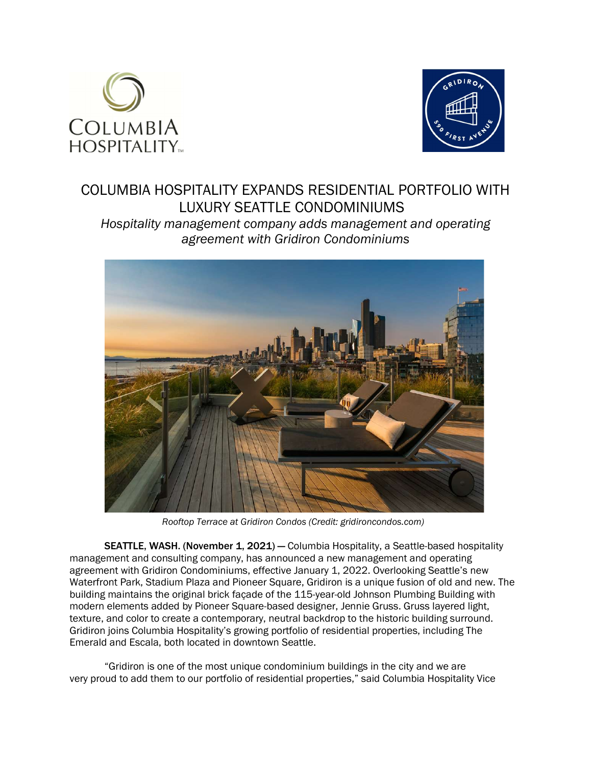



# COLUMBIA HOSPITALITY EXPANDS RESIDENTIAL PORTFOLIO WITH LUXURY SEATTLE CONDOMINIUMS

Hospitality management company adds management and operating agreement with Gridiron Condominiums



Rooftop Terrace at Gridiron Condos (Credit: gridironcondos.com)

SEATTLE, WASH. (November 1, 2021) — Columbia Hospitality, a Seattle-based hospitality management and consulting company, has announced a new management and operating agreement with Gridiron Condominiums, effective January 1, 2022. Overlooking Seattle's new Waterfront Park, Stadium Plaza and Pioneer Square, Gridiron is a unique fusion of old and new. The building maintains the original brick façade of the 115-year-old Johnson Plumbing Building with modern elements added by Pioneer Square-based designer, Jennie Gruss. Gruss layered light, texture, and color to create a contemporary, neutral backdrop to the historic building surround. Gridiron joins Columbia Hospitality's growing portfolio of residential properties, including The Emerald and Escala, both located in downtown Seattle.

"Gridiron is one of the most unique condominium buildings in the city and we are very proud to add them to our portfolio of residential properties," said Columbia Hospitality Vice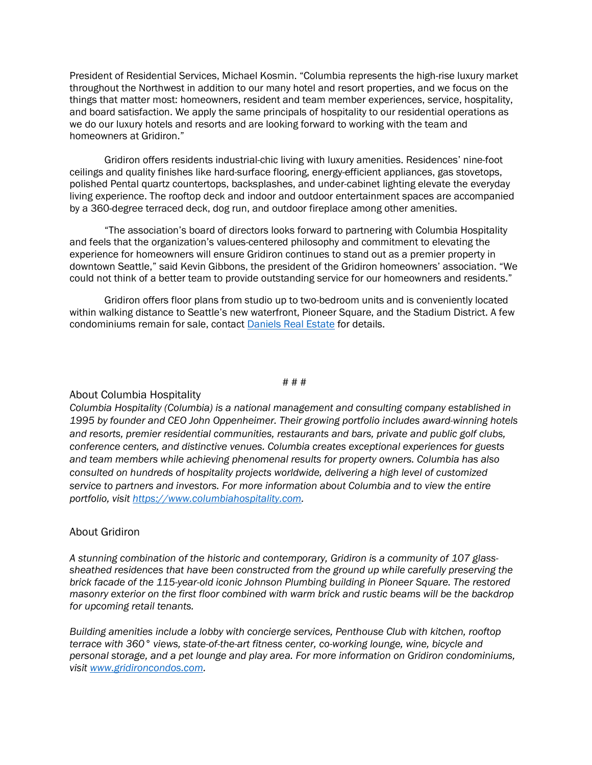President of Residential Services, Michael Kosmin. "Columbia represents the high-rise luxury market throughout the Northwest in addition to our many hotel and resort properties, and we focus on the things that matter most: homeowners, resident and team member experiences, service, hospitality, and board satisfaction. We apply the same principals of hospitality to our residential operations as we do our luxury hotels and resorts and are looking forward to working with the team and homeowners at Gridiron."

Gridiron offers residents industrial-chic living with luxury amenities. Residences' nine-foot ceilings and quality finishes like hard-surface flooring, energy-efficient appliances, gas stovetops, polished Pental quartz countertops, backsplashes, and under-cabinet lighting elevate the everyday living experience. The rooftop deck and indoor and outdoor entertainment spaces are accompanied by a 360-degree terraced deck, dog run, and outdoor fireplace among other amenities.

"The association's board of directors looks forward to partnering with Columbia Hospitality and feels that the organization's values-centered philosophy and commitment to elevating the experience for homeowners will ensure Gridiron continues to stand out as a premier property in downtown Seattle," said Kevin Gibbons, the president of the Gridiron homeowners' association. "We could not think of a better team to provide outstanding service for our homeowners and residents."

Gridiron offers floor plans from studio up to two-bedroom units and is conveniently located within walking distance to Seattle's new waterfront, Pioneer Square, and the Stadium District. A few condominiums remain for sale, contact Daniels Real Estate for details.

#### # # #

## About Columbia Hospitality

Columbia Hospitality (Columbia) is a national management and consulting company established in 1995 by founder and CEO John Oppenheimer. Their growing portfolio includes award-winning hotels and resorts, premier residential communities, restaurants and bars, private and public golf clubs, conference centers, and distinctive venues. Columbia creates exceptional experiences for guests and team members while achieving phenomenal results for property owners. Columbia has also consulted on hundreds of hospitality projects worldwide, delivering a high level of customized service to partners and investors. For more information about Columbia and to view the entire portfolio, visit https://www.columbiahospitality.com.

### About Gridiron

A stunning combination of the historic and contemporary, Gridiron is a community of 107 glasssheathed residences that have been constructed from the ground up while carefully preserving the brick facade of the 115-year-old iconic Johnson Plumbing building in Pioneer Square. The restored masonry exterior on the first floor combined with warm brick and rustic beams will be the backdrop for upcoming retail tenants.

Building amenities include a lobby with concierge services, Penthouse Club with kitchen, rooftop terrace with 360° views, state-of-the-art fitness center, co-working lounge, wine, bicycle and personal storage, and a pet lounge and play area. For more information on Gridiron condominiums, visit www.gridironcondos.com.